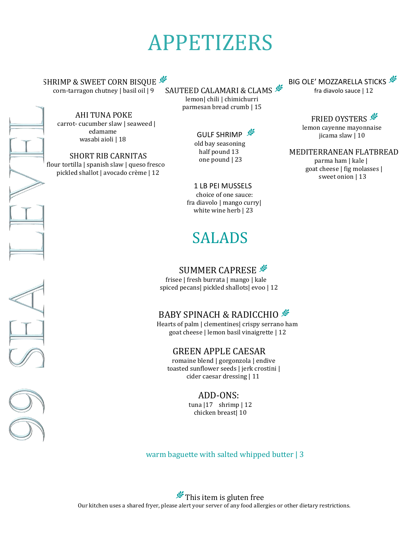# APPETIZERS

SAUTEED CALAMARI & CLAMS SHRIMP & SWEET CORN BISQUE corn-tarragon chutney | basil oil | 9

AHI TUNA POKE carrot- cucumber slaw | seaweed | edamame wasabi aioli | 18

 SHORT RIB CARNITAS flour tortilla | spanish slaw | queso fresco pickled shallot | avocado crème | 12

BIG OLE' MOZZARELLA STICKS fra diavolo sauce | 12

> **FRIED OYSTERS** lemon cayenne mayonnaise jicama slaw | 10

MEDITERRANEAN FLATBREAD

 parma ham | kale | goat cheese | fig molasses | sweet onion | 13

 one pound | 23 1 LB PEI MUSSELS

 lemon| chili | chimichurri parmesan bread crumb | 15

> GULF SHRIMP<sup>S</sup> old bay seasoning half pound 13

 choice of one sauce: fra diavolo | mango curry| white wine herb | 23

## SALADS

#### SUMMER CAPRESE

 frisee | fresh burrata | mango | kale spiced pecans| pickled shallots| evoo | 12

#### BABY SPINACH & RADICCHIO

 Hearts of palm | clementines| crispy serrano ham goat cheese | lemon basil vinaigrette | 12

#### GREEN APPLE CAESAR

 romaine blend | gorgonzola | endive toasted sunflower seeds | jerk crostini | cider caesar dressing | 11

ADD-ONS:

 tuna |17 shrimp | 12 chicken breast| 10

warm baguette with salted whipped butter | 3